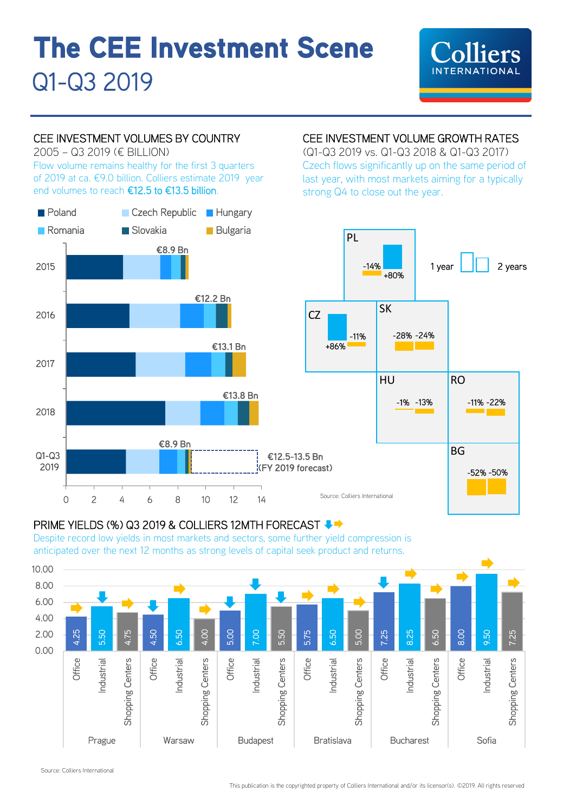# **The CEE Investment Scene**  Q1-Q3 2019

# **INTERNATIONAL**

## CEE INVESTMENT VOLUMES BY COUNTRY

2005 – Q3 2019 (€ BILLION)

Flow volume remains healthy for the first 3 quarters of 2019 at ca. €9.0 billion. Colliers estimate 2019 year end volumes to reach €12.5 to €13.5 billion.



# CEE INVESTMENT VOLUME GROWTH RATES

(Q1-Q3 2019 vs. Q1-Q3 2018 & Q1-Q3 2017) Czech flows significantly up on the same period of last year, with most markets aiming for a typically strong Q4 to close out the year.



#### PRIME YIELDS (%) Q3 2019 & COLLIERS 12MTH FORECAST ♦ ♦

Despite record low yields in most markets and sectors, some further yield compression is anticipated over the next 12 months as strong levels of capital seek product and returns.